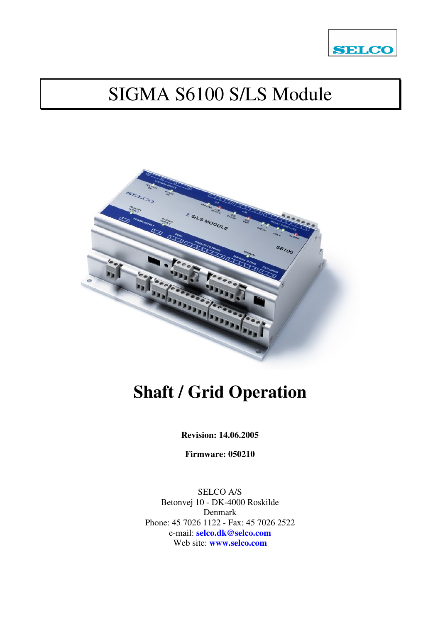

# SIGMA S6100 S/LS Module



# **Shaft / Grid Operation**

**Revision: 14.06.2005** 

**Firmware: 050210** 

SELCO A/S Betonvej 10 - DK-4000 Roskilde Denmark Phone: 45 7026 1122 - Fax: 45 7026 2522 e-mail: **selco.dk@selco.com** Web site: **www.selco.com**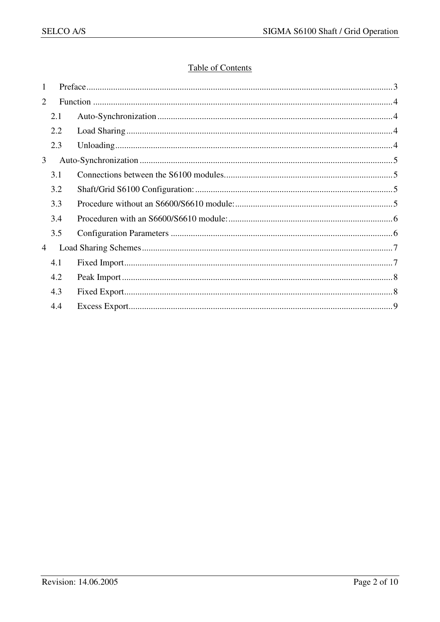## **Table of Contents**

| 1 |     |  |
|---|-----|--|
| 2 |     |  |
|   | 2.1 |  |
|   | 2.2 |  |
|   | 2.3 |  |
| 3 |     |  |
|   | 3.1 |  |
|   | 3.2 |  |
|   | 3.3 |  |
|   | 3.4 |  |
|   | 3.5 |  |
| 4 |     |  |
|   | 4.1 |  |
|   | 4.2 |  |
|   | 4.3 |  |
|   | 4.4 |  |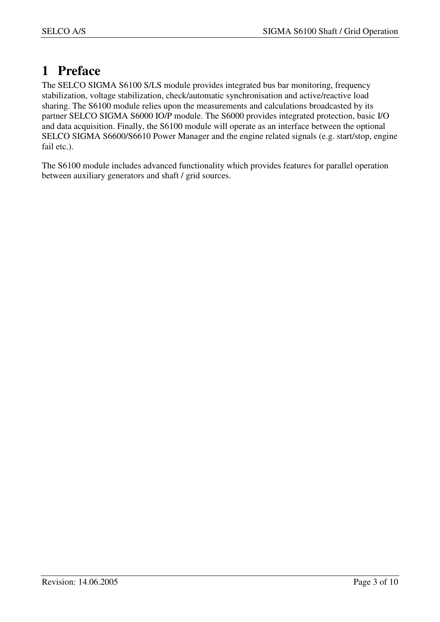# **1 Preface**

The SELCO SIGMA S6100 S/LS module provides integrated bus bar monitoring, frequency stabilization, voltage stabilization, check/automatic synchronisation and active/reactive load sharing. The S6100 module relies upon the measurements and calculations broadcasted by its partner SELCO SIGMA S6000 IO/P module. The S6000 provides integrated protection, basic I/O and data acquisition. Finally, the S6100 module will operate as an interface between the optional SELCO SIGMA S6600/S6610 Power Manager and the engine related signals (e.g. start/stop, engine fail etc.).

The S6100 module includes advanced functionality which provides features for parallel operation between auxiliary generators and shaft / grid sources.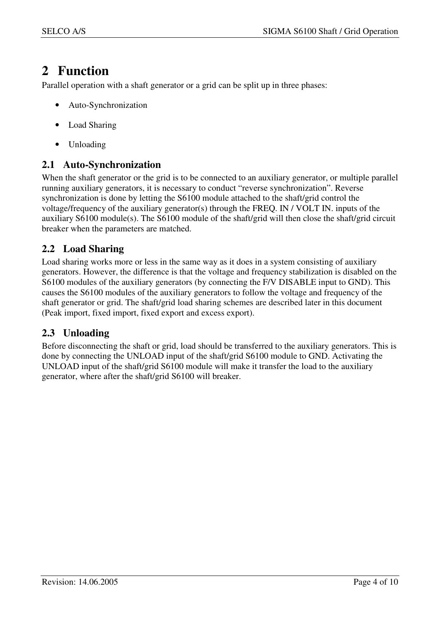# **2 Function**

Parallel operation with a shaft generator or a grid can be split up in three phases:

- Auto-Synchronization
- Load Sharing
- Unloading

# **2.1 Auto-Synchronization**

When the shaft generator or the grid is to be connected to an auxiliary generator, or multiple parallel running auxiliary generators, it is necessary to conduct "reverse synchronization". Reverse synchronization is done by letting the S6100 module attached to the shaft/grid control the voltage/frequency of the auxiliary generator(s) through the FREQ. IN / VOLT IN. inputs of the auxiliary S6100 module(s). The S6100 module of the shaft/grid will then close the shaft/grid circuit breaker when the parameters are matched.

# **2.2 Load Sharing**

Load sharing works more or less in the same way as it does in a system consisting of auxiliary generators. However, the difference is that the voltage and frequency stabilization is disabled on the S6100 modules of the auxiliary generators (by connecting the F/V DISABLE input to GND). This causes the S6100 modules of the auxiliary generators to follow the voltage and frequency of the shaft generator or grid. The shaft/grid load sharing schemes are described later in this document (Peak import, fixed import, fixed export and excess export).

## **2.3 Unloading**

Before disconnecting the shaft or grid, load should be transferred to the auxiliary generators. This is done by connecting the UNLOAD input of the shaft/grid S6100 module to GND. Activating the UNLOAD input of the shaft/grid S6100 module will make it transfer the load to the auxiliary generator, where after the shaft/grid S6100 will breaker.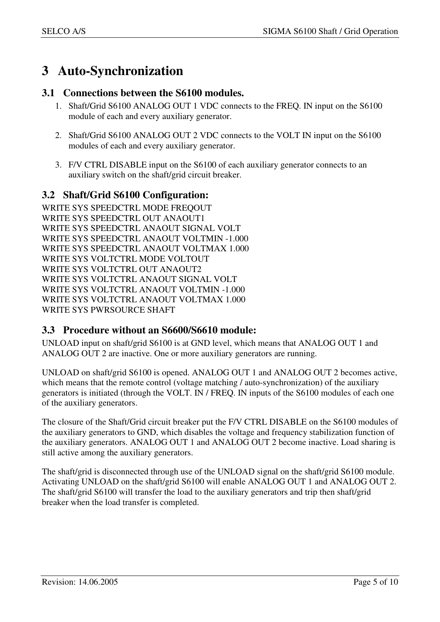# **3 Auto-Synchronization**

#### **3.1 Connections between the S6100 modules.**

- 1. Shaft/Grid S6100 ANALOG OUT 1 VDC connects to the FREQ. IN input on the S6100 module of each and every auxiliary generator.
- 2. Shaft/Grid S6100 ANALOG OUT 2 VDC connects to the VOLT IN input on the S6100 modules of each and every auxiliary generator.
- 3. F/V CTRL DISABLE input on the S6100 of each auxiliary generator connects to an auxiliary switch on the shaft/grid circuit breaker.

#### **3.2 Shaft/Grid S6100 Configuration:**

WRITE SYS SPEEDCTRL MODE FREQOUT WRITE SYS SPEEDCTRL OUT ANAOUT1 WRITE SYS SPEEDCTRL ANAOUT SIGNAL VOLT WRITE SYS SPEEDCTRL ANAOUT VOLTMIN -1.000 WRITE SYS SPEEDCTRL ANAOUT VOLTMAX 1.000 WRITE SYS VOLTCTRL MODE VOLTOUT WRITE SYS VOLTCTRL OUT ANAOUT2 WRITE SYS VOLTCTRL ANAOUT SIGNAL VOLT WRITE SYS VOLTCTRL ANAOUT VOLTMIN -1.000 WRITE SYS VOLTCTRL ANAOUT VOLTMAX 1.000 WRITE SYS PWRSOURCE SHAFT

## **3.3 Procedure without an S6600/S6610 module:**

UNLOAD input on shaft/grid S6100 is at GND level, which means that ANALOG OUT 1 and ANALOG OUT 2 are inactive. One or more auxiliary generators are running.

UNLOAD on shaft/grid S6100 is opened. ANALOG OUT 1 and ANALOG OUT 2 becomes active, which means that the remote control (voltage matching / auto-synchronization) of the auxiliary generators is initiated (through the VOLT. IN / FREQ. IN inputs of the S6100 modules of each one of the auxiliary generators.

The closure of the Shaft/Grid circuit breaker put the F/V CTRL DISABLE on the S6100 modules of the auxiliary generators to GND, which disables the voltage and frequency stabilization function of the auxiliary generators. ANALOG OUT 1 and ANALOG OUT 2 become inactive. Load sharing is still active among the auxiliary generators.

The shaft/grid is disconnected through use of the UNLOAD signal on the shaft/grid S6100 module. Activating UNLOAD on the shaft/grid S6100 will enable ANALOG OUT 1 and ANALOG OUT 2. The shaft/grid S6100 will transfer the load to the auxiliary generators and trip then shaft/grid breaker when the load transfer is completed.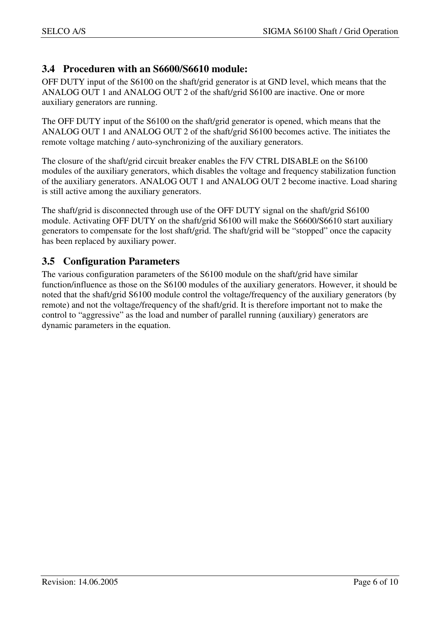## **3.4 Proceduren with an S6600/S6610 module:**

OFF DUTY input of the S6100 on the shaft/grid generator is at GND level, which means that the ANALOG OUT 1 and ANALOG OUT 2 of the shaft/grid S6100 are inactive. One or more auxiliary generators are running.

The OFF DUTY input of the S6100 on the shaft/grid generator is opened, which means that the ANALOG OUT 1 and ANALOG OUT 2 of the shaft/grid S6100 becomes active. The initiates the remote voltage matching / auto-synchronizing of the auxiliary generators.

The closure of the shaft/grid circuit breaker enables the F/V CTRL DISABLE on the S6100 modules of the auxiliary generators, which disables the voltage and frequency stabilization function of the auxiliary generators. ANALOG OUT 1 and ANALOG OUT 2 become inactive. Load sharing is still active among the auxiliary generators.

The shaft/grid is disconnected through use of the OFF DUTY signal on the shaft/grid S6100 module. Activating OFF DUTY on the shaft/grid S6100 will make the S6600/S6610 start auxiliary generators to compensate for the lost shaft/grid. The shaft/grid will be "stopped" once the capacity has been replaced by auxiliary power.

#### **3.5 Configuration Parameters**

The various configuration parameters of the S6100 module on the shaft/grid have similar function/influence as those on the S6100 modules of the auxiliary generators. However, it should be noted that the shaft/grid S6100 module control the voltage/frequency of the auxiliary generators (by remote) and not the voltage/frequency of the shaft/grid. It is therefore important not to make the control to "aggressive" as the load and number of parallel running (auxiliary) generators are dynamic parameters in the equation.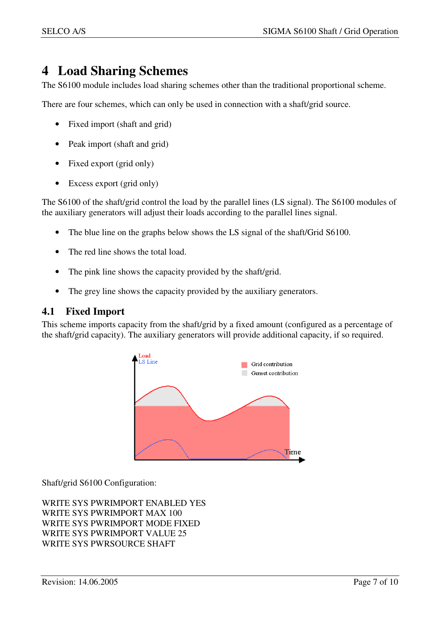# **4 Load Sharing Schemes**

The S6100 module includes load sharing schemes other than the traditional proportional scheme.

There are four schemes, which can only be used in connection with a shaft/grid source.

- Fixed import (shaft and grid)
- Peak import (shaft and grid)
- Fixed export (grid only)
- Excess export (grid only)

The S6100 of the shaft/grid control the load by the parallel lines (LS signal). The S6100 modules of the auxiliary generators will adjust their loads according to the parallel lines signal.

- The blue line on the graphs below shows the LS signal of the shaft/Grid S6100.
- The red line shows the total load.
- The pink line shows the capacity provided by the shaft/grid.
- The grey line shows the capacity provided by the auxiliary generators.

#### **4.1 Fixed Import**

This scheme imports capacity from the shaft/grid by a fixed amount (configured as a percentage of the shaft/grid capacity). The auxiliary generators will provide additional capacity, if so required.



Shaft/grid S6100 Configuration:

WRITE SYS PWRIMPORT ENABLED YES WRITE SYS PWRIMPORT MAX 100 WRITE SYS PWRIMPORT MODE FIXED WRITE SYS PWRIMPORT VALUE 25 WRITE SYS PWRSOURCE SHAFT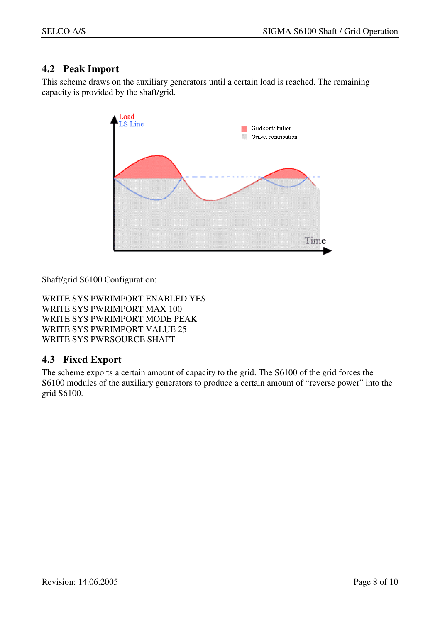# **4.2 Peak Import**

This scheme draws on the auxiliary generators until a certain load is reached. The remaining capacity is provided by the shaft/grid.



Shaft/grid S6100 Configuration:

WRITE SYS PWRIMPORT ENABLED YES WRITE SYS PWRIMPORT MAX 100 WRITE SYS PWRIMPORT MODE PEAK WRITE SYS PWRIMPORT VALUE 25 WRITE SYS PWRSOURCE SHAFT

# **4.3 Fixed Export**

The scheme exports a certain amount of capacity to the grid. The S6100 of the grid forces the S6100 modules of the auxiliary generators to produce a certain amount of "reverse power" into the grid S6100.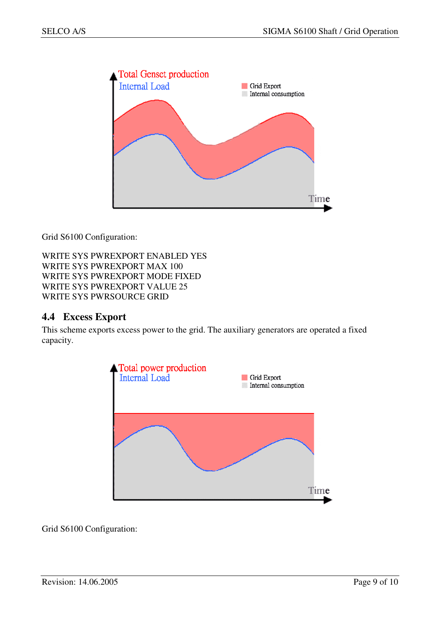

Grid S6100 Configuration:

WRITE SYS PWREXPORT ENABLED YES WRITE SYS PWREXPORT MAX 100 WRITE SYS PWREXPORT MODE FIXED WRITE SYS PWREXPORT VALUE 25 WRITE SYS PWRSOURCE GRID

#### **4.4 Excess Export**

This scheme exports excess power to the grid. The auxiliary generators are operated a fixed capacity.



Grid S6100 Configuration: